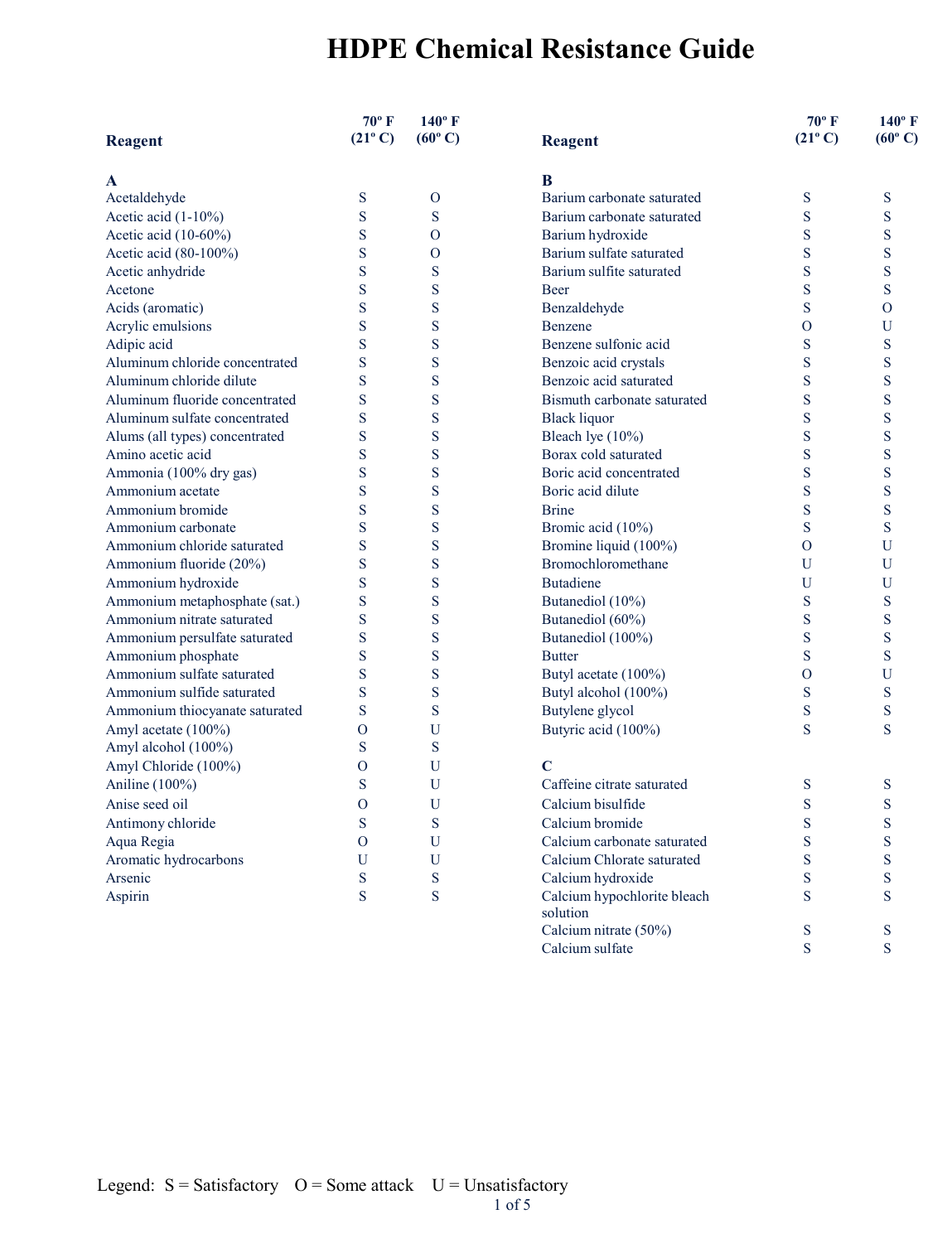|                                | $70^{\circ}$ F<br>$(21^{\circ} C)$ | $140^{\circ}$ F<br>$(60^{\circ} C)$ |                             | 70°F<br>$(21^{\circ} C)$ | $140^\circ$ F<br>$(60^{\circ} \text{C})$ |
|--------------------------------|------------------------------------|-------------------------------------|-----------------------------|--------------------------|------------------------------------------|
| <b>Reagent</b>                 |                                    |                                     | <b>Reagent</b>              |                          |                                          |
| A                              |                                    |                                     | B                           |                          |                                          |
| Acetaldehyde                   | ${\bf S}$                          | $\mathbf{O}$                        | Barium carbonate saturated  | S                        | S                                        |
| Acetic acid (1-10%)            | S                                  | S                                   | Barium carbonate saturated  | S                        | S                                        |
| Acetic acid (10-60%)           | S                                  | $\rm{O}$                            | Barium hydroxide            | S                        | S                                        |
| Acetic acid (80-100%)          | S                                  | $\overline{O}$                      | Barium sulfate saturated    | S                        | S                                        |
| Acetic anhydride               | S                                  | S                                   | Barium sulfite saturated    | S                        | S                                        |
| Acetone                        | S                                  | S                                   | <b>Beer</b>                 | S                        | S                                        |
| Acids (aromatic)               | S                                  | S                                   | Benzaldehyde                | S                        | $\overline{O}$                           |
| Acrylic emulsions              | S                                  | S                                   | Benzene                     | $\overline{O}$           | U                                        |
| Adipic acid                    | S                                  | S                                   | Benzene sulfonic acid       | S                        | S                                        |
| Aluminum chloride concentrated | S                                  | S                                   | Benzoic acid crystals       | S                        | S                                        |
| Aluminum chloride dilute       | S                                  | S                                   | Benzoic acid saturated      | S                        | S                                        |
| Aluminum fluoride concentrated | S                                  | S                                   | Bismuth carbonate saturated | S                        | S                                        |
| Aluminum sulfate concentrated  | S                                  | S                                   | <b>Black liquor</b>         | S                        | S                                        |
| Alums (all types) concentrated | S                                  | S                                   | Bleach lye (10%)            | S                        | S                                        |
| Amino acetic acid              | S                                  | S                                   | Borax cold saturated        | S                        | S                                        |
| Ammonia (100% dry gas)         | S                                  | S                                   | Boric acid concentrated     | S                        | S                                        |
| Ammonium acetate               | S                                  | S                                   | Boric acid dilute           | S                        | S                                        |
| Ammonium bromide               | S                                  | S                                   | <b>Brine</b>                | S                        | S                                        |
| Ammonium carbonate             | S                                  | S                                   | Bromic acid (10%)           | S                        | S                                        |
| Ammonium chloride saturated    | S                                  | S                                   | Bromine liquid (100%)       | $\Omega$                 | U                                        |
| Ammonium fluoride (20%)        | S                                  | S                                   | Bromochloromethane          | U                        | U                                        |
| Ammonium hydroxide             | S                                  | S                                   | <b>Butadiene</b>            | U                        | U                                        |
| Ammonium metaphosphate (sat.)  | S                                  | S                                   | Butanediol (10%)            | S                        | S                                        |
| Ammonium nitrate saturated     | S                                  | S                                   | Butanediol (60%)            | S                        | S                                        |
| Ammonium persulfate saturated  | S                                  | S                                   | Butanediol (100%)           | S                        | S                                        |
| Ammonium phosphate             | S                                  | S                                   | <b>Butter</b>               | S                        | S                                        |
| Ammonium sulfate saturated     | S                                  | S                                   | Butyl acetate (100%)        | $\overline{O}$           | U                                        |
| Ammonium sulfide saturated     | S                                  | S                                   | Butyl alcohol (100%)        | S                        | S                                        |
| Ammonium thiocyanate saturated | S                                  | S                                   | Butylene glycol             | S                        | S                                        |
| Amyl acetate (100%)            | $\overline{O}$                     | U                                   | Butyric acid (100%)         | S                        | S                                        |
| Amyl alcohol (100%)            | S                                  | S                                   |                             |                          |                                          |
| Amyl Chloride (100%)           | $\overline{O}$                     | U                                   | $\mathbf C$                 |                          |                                          |
| Aniline (100%)                 | S                                  | U                                   | Caffeine citrate saturated  | S                        | S                                        |
| Anise seed oil                 | $\mathbf{O}$                       | U                                   | Calcium bisulfide           | S                        | S                                        |
| Antimony chloride              | S                                  | S                                   | Calcium bromide             | S                        | S                                        |
| Aqua Regia                     | $\Omega$                           | U                                   | Calcium carbonate saturated | S                        | S                                        |
| Aromatic hydrocarbons          | U                                  | U                                   | Calcium Chlorate saturated  | S                        | S                                        |
| Arsenic                        | S                                  | S                                   | Calcium hydroxide           | S                        | S                                        |
| Aspirin                        | S                                  | S                                   | Calcium hypochlorite bleach | S                        | S                                        |
|                                |                                    |                                     | solution                    |                          |                                          |
|                                |                                    |                                     | Calcium nitrate (50%)       | S                        | S                                        |

Calcium sulfate S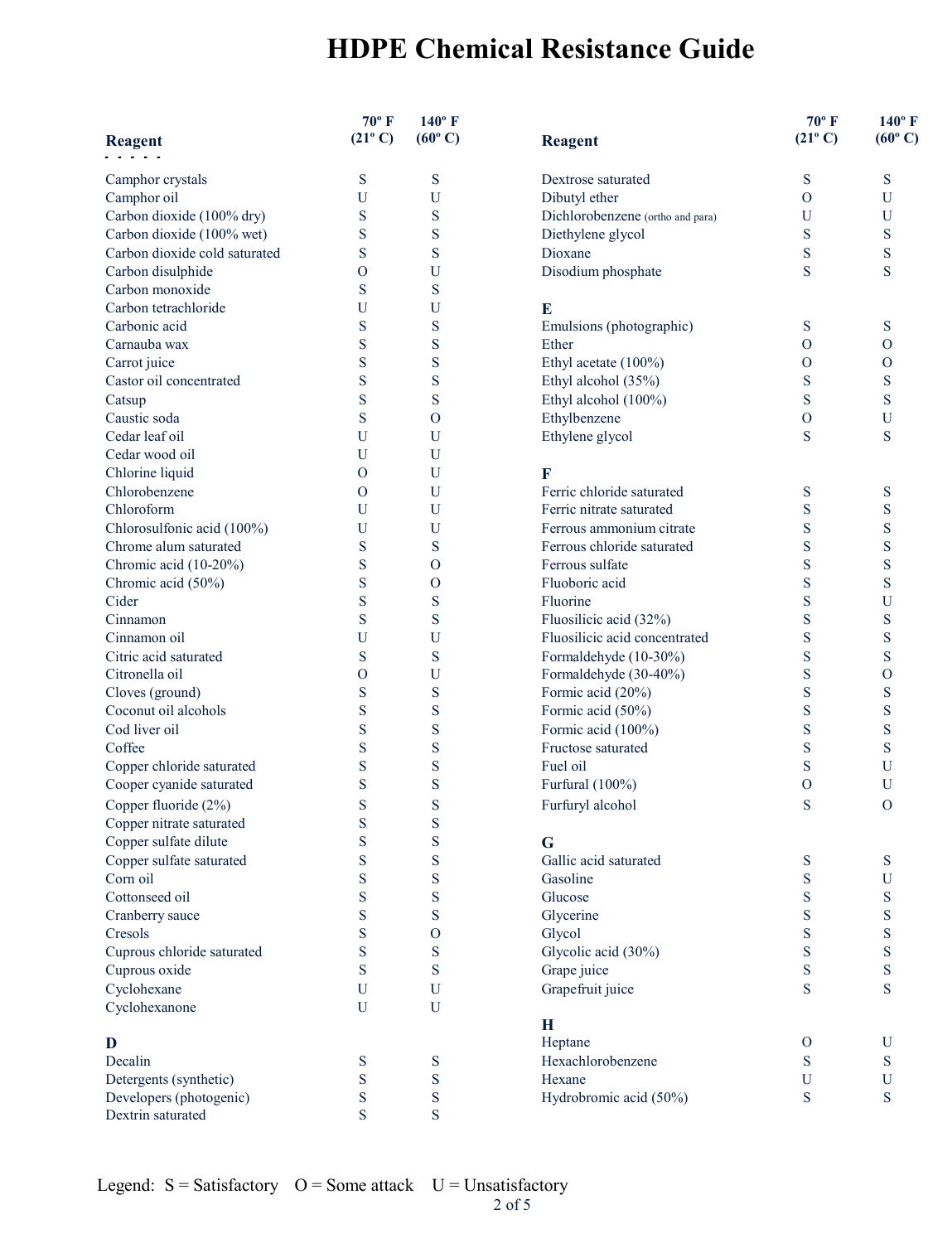|                               | $70^{\circ}$ F   | $140^{\circ}$ F  |                                  | $70^{\circ}$ F   | $140^\circ$ F           |
|-------------------------------|------------------|------------------|----------------------------------|------------------|-------------------------|
| <b>Reagent</b>                | $(21^{\circ} C)$ | $(60^{\circ} C)$ | <b>Reagent</b>                   | $(21^{\circ} C)$ | $(60^{\circ} \text{C})$ |
| Camphor crystals              | S                | S                | Dextrose saturated               | S                | S                       |
| Camphor oil                   | U                | U                | Dibutyl ether                    | $\overline{O}$   | U                       |
| Carbon dioxide (100% dry)     | S                | S                | Dichlorobenzene (ortho and para) | U                | U                       |
| Carbon dioxide (100% wet)     | S                | S                | Diethylene glycol                | S                | S                       |
| Carbon dioxide cold saturated | S                | S                | Dioxane                          | S                | S                       |
| Carbon disulphide             | $\overline{O}$   | U                | Disodium phosphate               | S                | S                       |
| Carbon monoxide               | S                | S                |                                  |                  |                         |
| Carbon tetrachloride          | U                | U                | E                                |                  |                         |
| Carbonic acid                 | S                | ${\bf S}$        | Emulsions (photographic)         | S                | S                       |
| Carnauba wax                  | S                | S                | Ether                            | $\mathbf{O}$     | $\Omega$                |
| Carrot juice                  | S                | S                | Ethyl acetate (100%)             | $\mathbf{O}$     | $\Omega$                |
| Castor oil concentrated       | S                | S                | Ethyl alcohol (35%)              | S                | S                       |
| Catsup                        | S                | S                | Ethyl alcohol (100%)             | S                | S                       |
| Caustic soda                  | S                | O                | Ethylbenzene                     | $\mathbf{O}$     | U                       |
| Cedar leaf oil                | U                | U                | Ethylene glycol                  | S                | S                       |
| Cedar wood oil                | U                | U                |                                  |                  |                         |
| Chlorine liquid               | $\mathbf{O}$     | U                | F                                |                  |                         |
| Chlorobenzene                 |                  |                  | Ferric chloride saturated        |                  |                         |
|                               | $\mathbf{O}$     | U                |                                  | S                | S                       |
| Chloroform                    | U                | U                | Ferric nitrate saturated         | S                | S                       |
| Chlorosulfonic acid (100%)    | U                | U                | Ferrous ammonium citrate         | S                | S                       |
| Chrome alum saturated         | S                | S                | Ferrous chloride saturated       | S                | S                       |
| Chromic acid (10-20%)         | S                | O                | Ferrous sulfate                  | S                | S                       |
| Chromic acid (50%)            | S                | $\mathbf O$      | Fluoboric acid                   | S                | S                       |
| Cider                         | S                | S                | Fluorine                         | S                | $\mathbf U$             |
| Cinnamon                      | S                | S                | Fluosilicic acid (32%)           | S                | S                       |
| Cinnamon oil                  | $\mathbf U$      | U                | Fluosilicic acid concentrated    | S                | S                       |
| Citric acid saturated         | S                | ${\bf S}$        | Formaldehyde (10-30%)            | S                | S                       |
| Citronella oil                | $\Omega$         | U                | Formaldehyde (30-40%)            | S                | $\overline{O}$          |
| Cloves (ground)               | S                | S                | Formic acid (20%)                | S                | S                       |
| Coconut oil alcohols          | S                | S                | Formic acid (50%)                | S                | S                       |
| Cod liver oil                 | S                | S                | Formic acid (100%)               | S                | S                       |
| Coffee                        | S                | S                | Fructose saturated               | S                | S                       |
| Copper chloride saturated     | S                | S                | Fuel oil                         | S                | U                       |
| Cooper cyanide saturated      | S                | S                | Furfural (100%)                  | $\Omega$         | U                       |
| Copper fluoride (2%)          | S                | S                | Furfuryl alcohol                 | S                | $\Omega$                |
| Copper nitrate saturated      | S                | S                |                                  |                  |                         |
| Copper sulfate dilute         | S                | S                | G                                |                  |                         |
| Copper sulfate saturated      | S                | S                | Gallic acid saturated            | S                | S                       |
| Corn oil                      | S                | S                | Gasoline                         | S                | $\mathbf U$             |
| Cottonseed oil                | S                | S                | Glucose                          | S                | S                       |
| Cranberry sauce               | S                | S                | Glycerine                        | S                | S                       |
| Cresols                       | S                | $\mathbf{O}$     | Glycol                           | S                | S                       |
| Cuprous chloride saturated    | S                | S                | Glycolic acid (30%)              | S                | S                       |
| Cuprous oxide                 | S                | S                | Grape juice                      | S                | S                       |
| Cyclohexane                   | $\mathbf U$      | U                | Grapefruit juice                 | S                | S                       |
| Cyclohexanone                 | $\mathbf U$      | U                |                                  |                  |                         |
|                               |                  |                  | H                                |                  |                         |
| D                             |                  |                  | Heptane                          | $\mathbf{O}$     | U                       |
| Decalin                       | S                | S                | Hexachlorobenzene                | S                | S                       |
| Detergents (synthetic)        | S                | S                | Hexane                           | U                | U                       |
| Developers (photogenic)       | S                | S                | Hydrobromic acid (50%)           | S                | S                       |
| Dextrin saturated             | S                | ${\bf S}$        |                                  |                  |                         |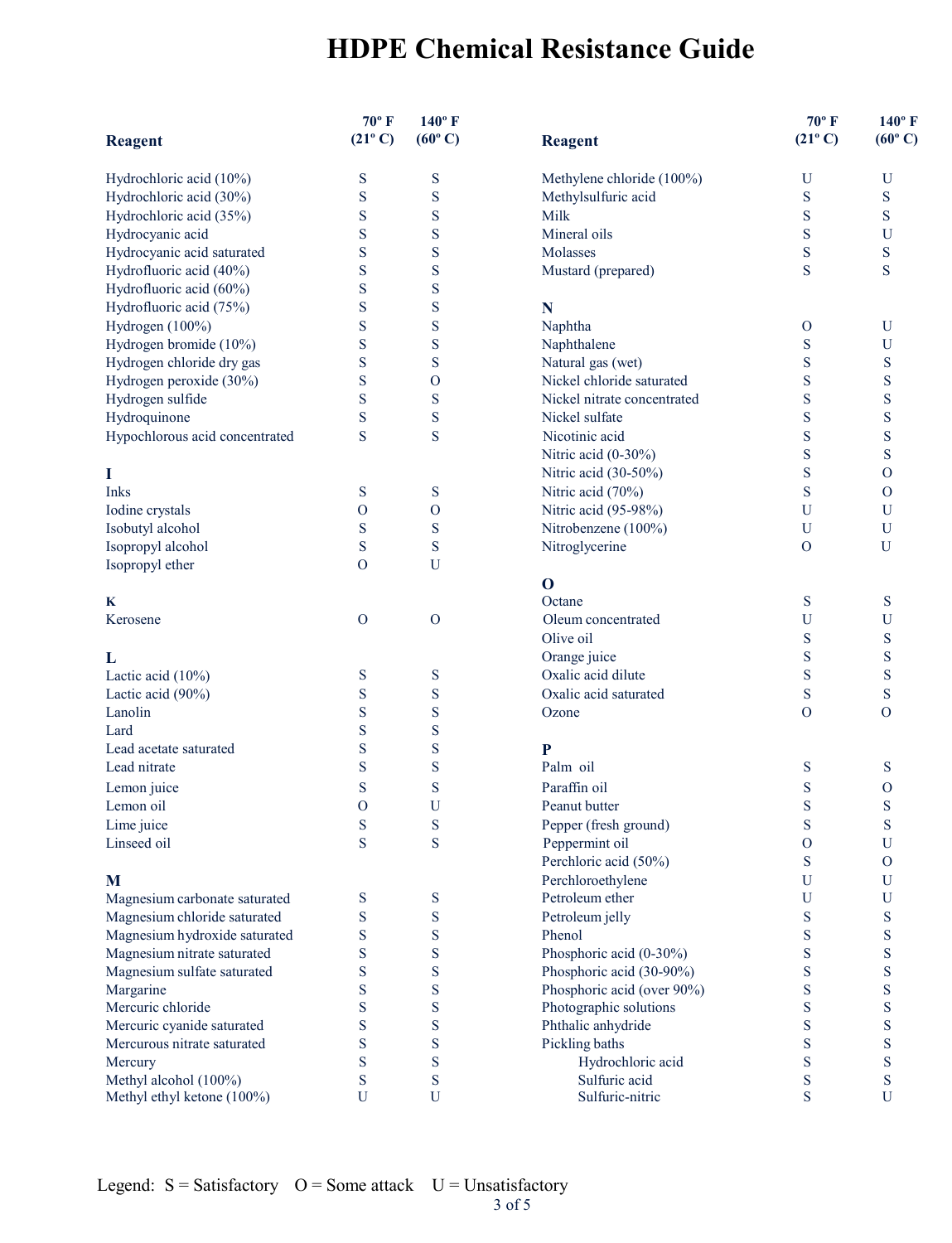|                                | $70^{\circ}$ F    | $140^\circ$ F    |                             | $70^{\circ}$ F   | $140^\circ$ F            |
|--------------------------------|-------------------|------------------|-----------------------------|------------------|--------------------------|
| <b>Reagent</b>                 | $(21^{\circ} C)$  | $(60^{\circ} C)$ | <b>Reagent</b>              | $(21^{\circ} C)$ | $(60^{\circ} \text{C})$  |
| Hydrochloric acid (10%)        | S                 | S                | Methylene chloride (100%)   | U                | $\mathbf U$              |
| Hydrochloric acid (30%)        | S                 | S                | Methylsulfuric acid         | S                | S                        |
| Hydrochloric acid (35%)        | S                 | S                | Milk                        | S                | S                        |
| Hydrocyanic acid               | S                 | S                | Mineral oils                | S                | $\mathbf U$              |
| Hydrocyanic acid saturated     | S                 | S                | Molasses                    | S                | S                        |
| Hydrofluoric acid (40%)        | S                 | S                | Mustard (prepared)          | S                | S                        |
| Hydrofluoric acid (60%)        | S                 | S                |                             |                  |                          |
| Hydrofluoric acid (75%)        | S                 | S                | N                           |                  |                          |
| Hydrogen (100%)                | S                 | S                | Naphtha                     | $\mathbf{O}$     | U                        |
| Hydrogen bromide (10%)         | S                 | S                | Naphthalene                 | S                | $\mathbf U$              |
| Hydrogen chloride dry gas      | S                 | S                | Natural gas (wet)           | S                | S                        |
| Hydrogen peroxide (30%)        | S                 | $\mathbf{O}$     | Nickel chloride saturated   | S                | S                        |
| Hydrogen sulfide               | S                 | S                | Nickel nitrate concentrated | S                | S                        |
| Hydroquinone                   | S                 | S                | Nickel sulfate              | S                | S                        |
| Hypochlorous acid concentrated | S                 | S                | Nicotinic acid              | S                | S                        |
|                                |                   |                  | Nitric acid (0-30%)         | S                | S                        |
| I                              |                   |                  | Nitric acid (30-50%)        | S                | $\mathbf{O}$             |
| Inks                           | S                 | S                | Nitric acid (70%)           | S                | $\mathbf{O}$             |
| Iodine crystals                | $\mathbf{O}$      | $\mathbf{O}$     | Nitric acid (95-98%)        | U                | $\mathbf U$              |
| Isobutyl alcohol               | S                 | S                | Nitrobenzene (100%)         | U                | $\mathbf U$              |
| Isopropyl alcohol              | S                 | S                | Nitroglycerine              | $\overline{O}$   | U                        |
| Isopropyl ether                | $\Omega$          | U                |                             |                  |                          |
|                                |                   |                  | $\mathbf 0$                 |                  |                          |
| K                              |                   |                  | Octane                      | S                | S                        |
| Kerosene                       | $\Omega$          | $\overline{O}$   | Oleum concentrated          | U                | U                        |
|                                |                   |                  | Olive oil                   | S                | S                        |
| L                              |                   |                  | Orange juice                | S                | S                        |
| Lactic acid (10%)              | S                 | S                | Oxalic acid dilute          | S                | S                        |
| Lactic acid (90%)              | S                 | S                | Oxalic acid saturated       | S                | S                        |
| Lanolin                        | S                 | S                | Ozone                       | $\overline{0}$   | $\Omega$                 |
| Lard                           | S                 | S                |                             |                  |                          |
| Lead acetate saturated         | S                 | S                | $\mathbf{P}$                |                  |                          |
| Lead nitrate                   | S                 | S                | Palm oil                    | S                | S                        |
| Lemon juice                    | S                 | S                | Paraffin oil                | S                | $\mathbf{O}$             |
| Lemon oil                      |                   |                  | Peanut butter               |                  |                          |
|                                | $\mathbf{O}$<br>S | U<br>${\bf S}$   |                             | S<br>S           | S<br>S                   |
| Lime juice                     |                   |                  | Pepper (fresh ground)       |                  |                          |
| Linseed oil                    | S                 | S                | Peppermint oil              | $\mathbf{O}$     | U                        |
|                                |                   |                  | Perchloric acid (50%)       | S                | $\overline{O}$           |
| M                              |                   |                  | Perchloroethylene           | $\mathbf U$      | U                        |
| Magnesium carbonate saturated  | ${\bf S}$         | ${\bf S}$        | Petroleum ether             | U                | $\mathbf U$              |
| Magnesium chloride saturated   | S                 | ${\bf S}$        | Petroleum jelly             | S                | S                        |
| Magnesium hydroxide saturated  | S                 | S                | Phenol                      | S                | S                        |
| Magnesium nitrate saturated    | S                 | S                | Phosphoric acid (0-30%)     | S                | S                        |
| Magnesium sulfate saturated    | S                 | S                | Phosphoric acid (30-90%)    | S                | S                        |
| Margarine                      | S                 | S                | Phosphoric acid (over 90%)  | S                | S                        |
| Mercuric chloride              | S                 | S                | Photographic solutions      | S                | S                        |
| Mercuric cyanide saturated     | S                 | S                | Phthalic anhydride          | S                | S                        |
| Mercurous nitrate saturated    | S                 | S                | Pickling baths              | S                | S                        |
| Mercury                        | S                 | S                | Hydrochloric acid           | S                | S                        |
| Methyl alcohol (100%)          | S<br>$\mathbf U$  | S<br>U           | Sulfuric acid               | S<br>S           | ${\bf S}$<br>$\mathbf U$ |
| Methyl ethyl ketone (100%)     |                   |                  | Sulfuric-nitric             |                  |                          |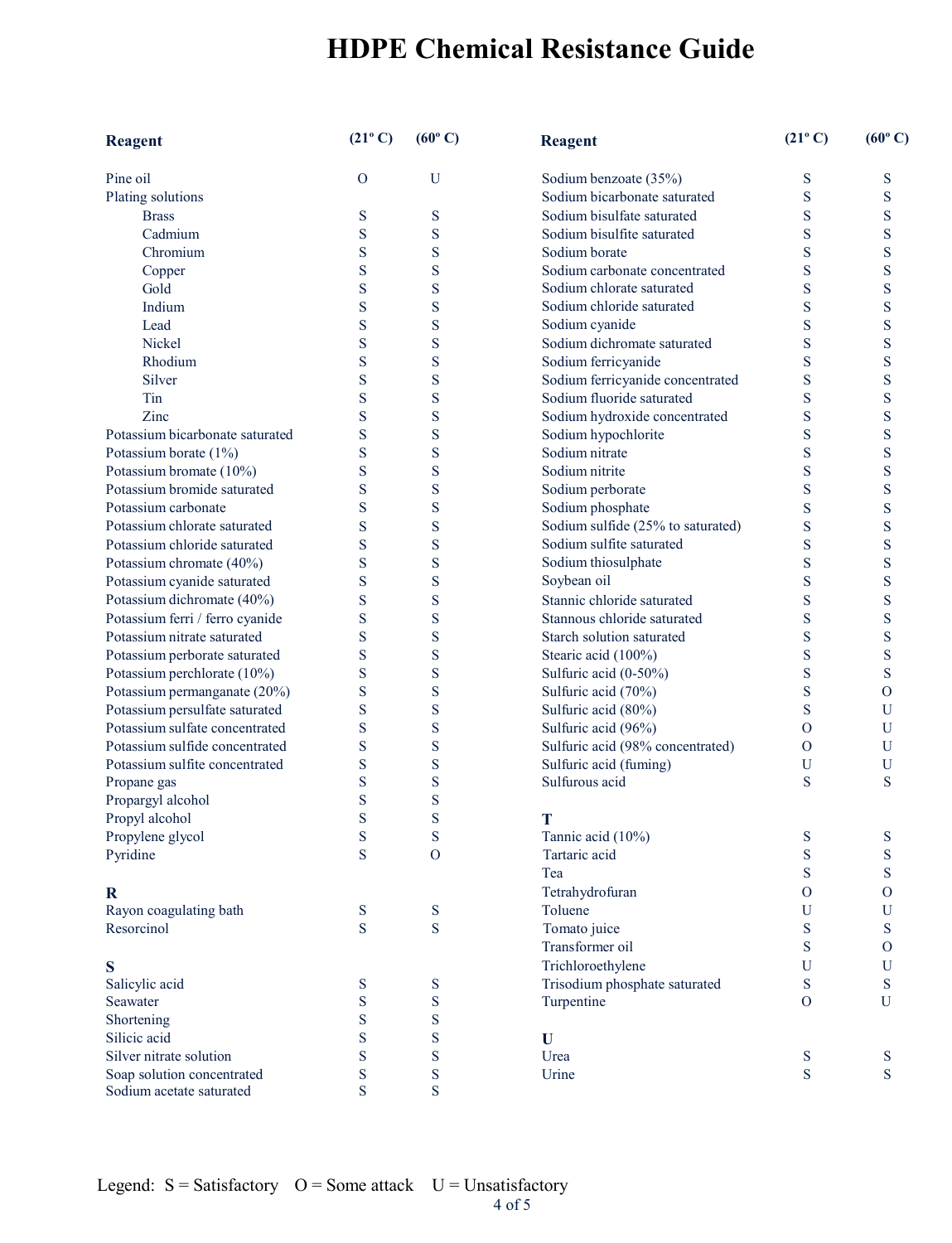| <b>Reagent</b>                  | $(21^{\circ} C)$ | $(60^{\circ} C)$ | <b>Reagent</b>                    | $(21^{\circ} C)$ | $(60^{\circ} C)$ |
|---------------------------------|------------------|------------------|-----------------------------------|------------------|------------------|
| Pine oil                        | $\overline{O}$   | U                | Sodium benzoate (35%)             | S                | S                |
| Plating solutions               |                  |                  | Sodium bicarbonate saturated      | S                | S                |
| <b>Brass</b>                    | S                | S                | Sodium bisulfate saturated        | S                | S                |
| Cadmium                         | S                | S                | Sodium bisulfite saturated        | S                | S                |
| Chromium                        | S                | S                | Sodium borate                     | S                | S                |
| Copper                          | S                | S                | Sodium carbonate concentrated     | S                | S                |
| Gold                            | S                | S                | Sodium chlorate saturated         | S                | ${\bf S}$        |
| Indium                          | S                | S                | Sodium chloride saturated         | S                | S                |
| Lead                            | S                | S                | Sodium cyanide                    | S                | S                |
| Nickel                          | S                | S                | Sodium dichromate saturated       | S                | S                |
| Rhodium                         | S                | S                | Sodium ferricyanide               | S                | ${\bf S}$        |
| Silver                          | S                | S                | Sodium ferricyanide concentrated  | S                | ${\bf S}$        |
| Tin                             | S                | S                | Sodium fluoride saturated         | S                | ${\bf S}$        |
| Zinc                            | S                | S                | Sodium hydroxide concentrated     | S                | S                |
| Potassium bicarbonate saturated | S                | S                | Sodium hypochlorite               | S                | ${\bf S}$        |
| Potassium borate (1%)           | S                | S                | Sodium nitrate                    | S                | S                |
| Potassium bromate (10%)         | S                | S                | Sodium nitrite                    | S                | S                |
| Potassium bromide saturated     | S                | S                | Sodium perborate                  | S                | S                |
| Potassium carbonate             | S                | S                | Sodium phosphate                  | S                | ${\bf S}$        |
| Potassium chlorate saturated    | S                | S                | Sodium sulfide (25% to saturated) | S                | ${\bf S}$        |
| Potassium chloride saturated    | S                | S                | Sodium sulfite saturated          | S                | ${\bf S}$        |
| Potassium chromate (40%)        | S                | S                | Sodium thiosulphate               | S                | S                |
| Potassium cyanide saturated     | S                | S                | Soybean oil                       | S                | S                |
| Potassium dichromate (40%)      | S                | S                | Stannic chloride saturated        | S                | S                |
| Potassium ferri / ferro cyanide | S                | S                | Stannous chloride saturated       | S                | S                |
| Potassium nitrate saturated     | S                | S                | Starch solution saturated         | S                | ${\bf S}$        |
| Potassium perborate saturated   | S                | S                | Stearic acid (100%)               | S                | ${\bf S}$        |
| Potassium perchlorate (10%)     | S                | S                | Sulfuric acid (0-50%)             | S                | ${\bf S}$        |
| Potassium permanganate (20%)    | S                | S                | Sulfuric acid (70%)               | S                | $\mathbf{O}$     |
| Potassium persulfate saturated  | S                | S                | Sulfuric acid (80%)               | S                | U                |
| Potassium sulfate concentrated  | S                | S                | Sulfuric acid (96%)               | $\Omega$         | U                |
| Potassium sulfide concentrated  | S                | S                | Sulfuric acid (98% concentrated)  | $\Omega$         | U                |
| Potassium sulfite concentrated  | S                | S                | Sulfuric acid (fuming)            | U                | U                |
| Propane gas                     | S                | S                | Sulfurous acid                    | S                | S                |
| Propargyl alcohol               | S                | S                |                                   |                  |                  |
| Propyl alcohol                  | S                | S                | т                                 |                  |                  |
| Propylene glycol                | S                | S                | Tannic acid (10%)                 | S                | S                |
| Pyridine                        | S                | 0                | Tartaric acid                     | S                | S                |
|                                 |                  |                  | Tea                               | S                | ${\bf S}$        |
| $\bf{R}$                        |                  |                  | Tetrahydrofuran                   | $\overline{O}$   | $\mathbf{O}$     |
| Rayon coagulating bath          | ${\bf S}$        | S                | Toluene                           | U                | U                |
| Resorcinol                      | S                | S                | Tomato juice                      | S                | S                |
|                                 |                  |                  | Transformer oil                   | S                | O                |
| S                               |                  |                  | Trichloroethylene                 | U                | U                |
| Salicylic acid                  | S                | S                | Trisodium phosphate saturated     | ${\bf S}$        | S                |
| Seawater                        | S                | S                | Turpentine                        | $\overline{O}$   | U                |
| Shortening                      | S                | S                |                                   |                  |                  |
| Silicic acid                    | S                | S                | U                                 |                  |                  |
| Silver nitrate solution         | S                | S                | Urea                              | ${\bf S}$        | S                |
| Soap solution concentrated      | ${\bf S}$        | S                | Urine                             | S                | S                |
| Sodium acetate saturated        | S                | S                |                                   |                  |                  |